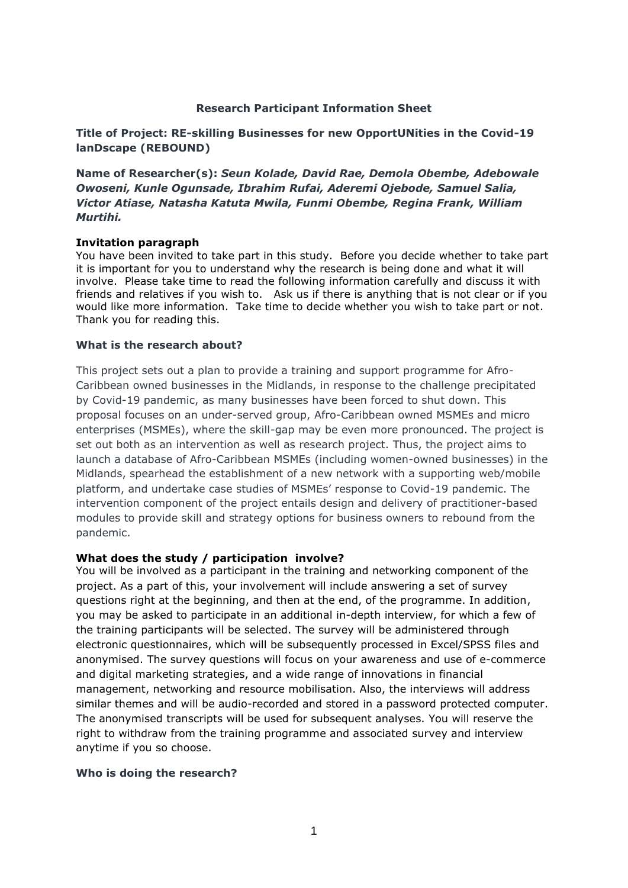### **Research Participant Information Sheet**

**Title of Project: RE-skilling Businesses for new OpportUNities in the Covid-19 lanDscape (REBOUND)**

**Name of Researcher(s):** *Seun Kolade, David Rae, Demola Obembe, Adebowale Owoseni, Kunle Ogunsade, Ibrahim Rufai, Aderemi Ojebode, Samuel Salia, Victor Atiase, Natasha Katuta Mwila, Funmi Obembe, Regina Frank, William Murtihi.*

#### **Invitation paragraph**

You have been invited to take part in this study. Before you decide whether to take part it is important for you to understand why the research is being done and what it will involve. Please take time to read the following information carefully and discuss it with friends and relatives if you wish to. Ask us if there is anything that is not clear or if you would like more information. Take time to decide whether you wish to take part or not. Thank you for reading this.

#### **What is the research about?**

This project sets out a plan to provide a training and support programme for Afro-Caribbean owned businesses in the Midlands, in response to the challenge precipitated by Covid-19 pandemic, as many businesses have been forced to shut down. This proposal focuses on an under-served group, Afro-Caribbean owned MSMEs and micro enterprises (MSMEs), where the skill-gap may be even more pronounced. The project is set out both as an intervention as well as research project. Thus, the project aims to launch a database of Afro-Caribbean MSMEs (including women-owned businesses) in the Midlands, spearhead the establishment of a new network with a supporting web/mobile platform, and undertake case studies of MSMEs' response to Covid-19 pandemic. The intervention component of the project entails design and delivery of practitioner-based modules to provide skill and strategy options for business owners to rebound from the pandemic.

### **What does the study / participation involve?**

You will be involved as a participant in the training and networking component of the project. As a part of this, your involvement will include answering a set of survey questions right at the beginning, and then at the end, of the programme. In addition, you may be asked to participate in an additional in-depth interview, for which a few of the training participants will be selected. The survey will be administered through electronic questionnaires, which will be subsequently processed in Excel/SPSS files and anonymised. The survey questions will focus on your awareness and use of e-commerce and digital marketing strategies, and a wide range of innovations in financial management, networking and resource mobilisation. Also, the interviews will address similar themes and will be audio-recorded and stored in a password protected computer. The anonymised transcripts will be used for subsequent analyses. You will reserve the right to withdraw from the training programme and associated survey and interview anytime if you so choose.

#### **Who is doing the research?**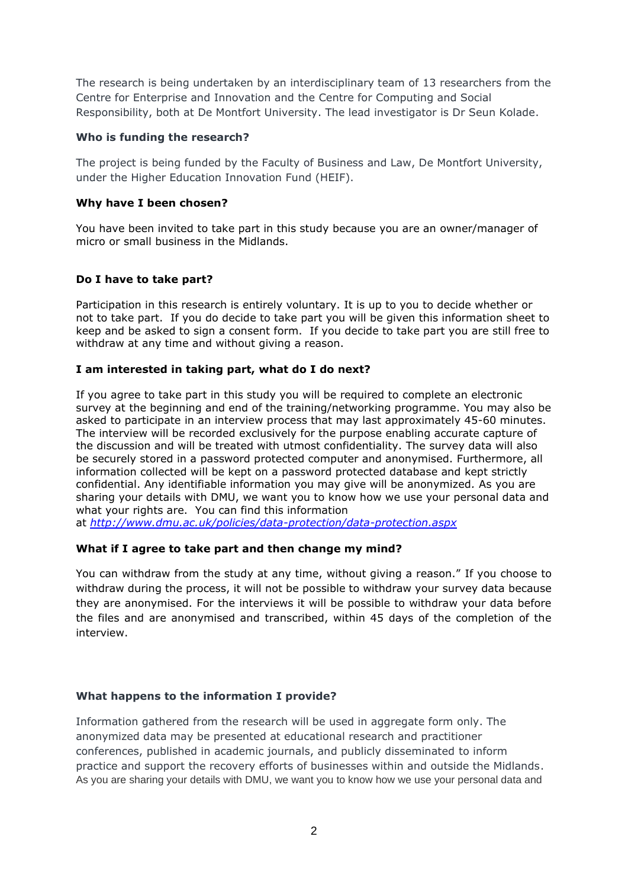The research is being undertaken by an interdisciplinary team of 13 researchers from the Centre for Enterprise and Innovation and the Centre for Computing and Social Responsibility, both at De Montfort University. The lead investigator is Dr Seun Kolade.

# **Who is funding the research?**

The project is being funded by the Faculty of Business and Law, De Montfort University, under the Higher Education Innovation Fund (HEIF).

# **Why have I been chosen?**

You have been invited to take part in this study because you are an owner/manager of micro or small business in the Midlands.

# **Do I have to take part?**

Participation in this research is entirely voluntary. It is up to you to decide whether or not to take part. If you do decide to take part you will be given this information sheet to keep and be asked to sign a consent form. If you decide to take part you are still free to withdraw at any time and without giving a reason.

## **I am interested in taking part, what do I do next?**

If you agree to take part in this study you will be required to complete an electronic survey at the beginning and end of the training/networking programme. You may also be asked to participate in an interview process that may last approximately 45-60 minutes. The interview will be recorded exclusively for the purpose enabling accurate capture of the discussion and will be treated with utmost confidentiality. The survey data will also be securely stored in a password protected computer and anonymised. Furthermore, all information collected will be kept on a password protected database and kept strictly confidential. Any identifiable information you may give will be anonymized*.* As you are sharing your details with DMU, we want you to know how we use your personal data and what your rights are. You can find this information

at *<http://www.dmu.ac.uk/policies/data-protection/data-protection.aspx>*

### **What if I agree to take part and then change my mind?**

You can withdraw from the study at any time, without giving a reason." If you choose to withdraw during the process, it will not be possible to withdraw your survey data because they are anonymised. For the interviews it will be possible to withdraw your data before the files and are anonymised and transcribed, within 45 days of the completion of the interview.

# **What happens to the information I provide?**

Information gathered from the research will be used in aggregate form only. The anonymized data may be presented at educational research and practitioner conferences, published in academic journals, and publicly disseminated to inform practice and support the recovery efforts of businesses within and outside the Midlands. As you are sharing your details with DMU, we want you to know how we use your personal data and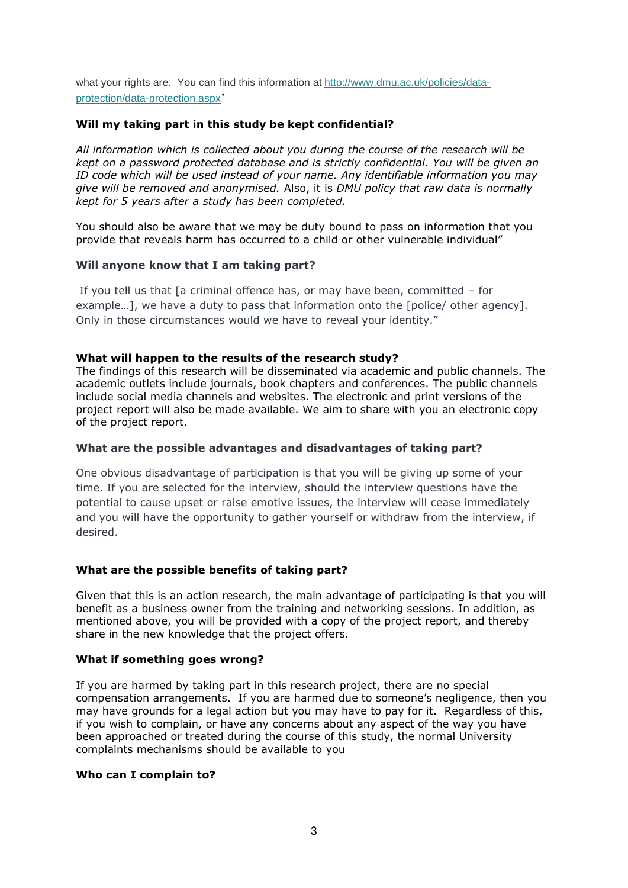what your rights are. You can find this information at [http://www.dmu.ac.uk/policies/data](http://www.dmu.ac.uk/policies/data-protection/data-protection.aspx)[protection/data-protection.aspx](http://www.dmu.ac.uk/policies/data-protection/data-protection.aspx)'

## **Will my taking part in this study be kept confidential?**

*All information which is collected about you during the course of the research will be kept on a password protected database and is strictly confidential. You will be given an ID code which will be used instead of your name. Any identifiable information you may give will be removed and anonymised.* Also, it is *DMU policy that raw data is normally kept for 5 years after a study has been completed.*

You should also be aware that we may be duty bound to pass on information that you provide that reveals harm has occurred to a child or other vulnerable individual"

### **Will anyone know that I am taking part?**

If you tell us that [a criminal offence has, or may have been, committed – for example...], we have a duty to pass that information onto the [police/ other agency]. Only in those circumstances would we have to reveal your identity."

## **What will happen to the results of the research study?**

The findings of this research will be disseminated via academic and public channels. The academic outlets include journals, book chapters and conferences. The public channels include social media channels and websites. The electronic and print versions of the project report will also be made available. We aim to share with you an electronic copy of the project report.

### **What are the possible advantages and disadvantages of taking part?**

One obvious disadvantage of participation is that you will be giving up some of your time. If you are selected for the interview, should the interview questions have the potential to cause upset or raise emotive issues, the interview will cease immediately and you will have the opportunity to gather yourself or withdraw from the interview, if desired.

### **What are the possible benefits of taking part?**

Given that this is an action research, the main advantage of participating is that you will benefit as a business owner from the training and networking sessions. In addition, as mentioned above, you will be provided with a copy of the project report, and thereby share in the new knowledge that the project offers.

### **What if something goes wrong?**

If you are harmed by taking part in this research project, there are no special compensation arrangements. If you are harmed due to someone's negligence, then you may have grounds for a legal action but you may have to pay for it. Regardless of this, if you wish to complain, or have any concerns about any aspect of the way you have been approached or treated during the course of this study, the normal University complaints mechanisms should be available to you

### **Who can I complain to?**